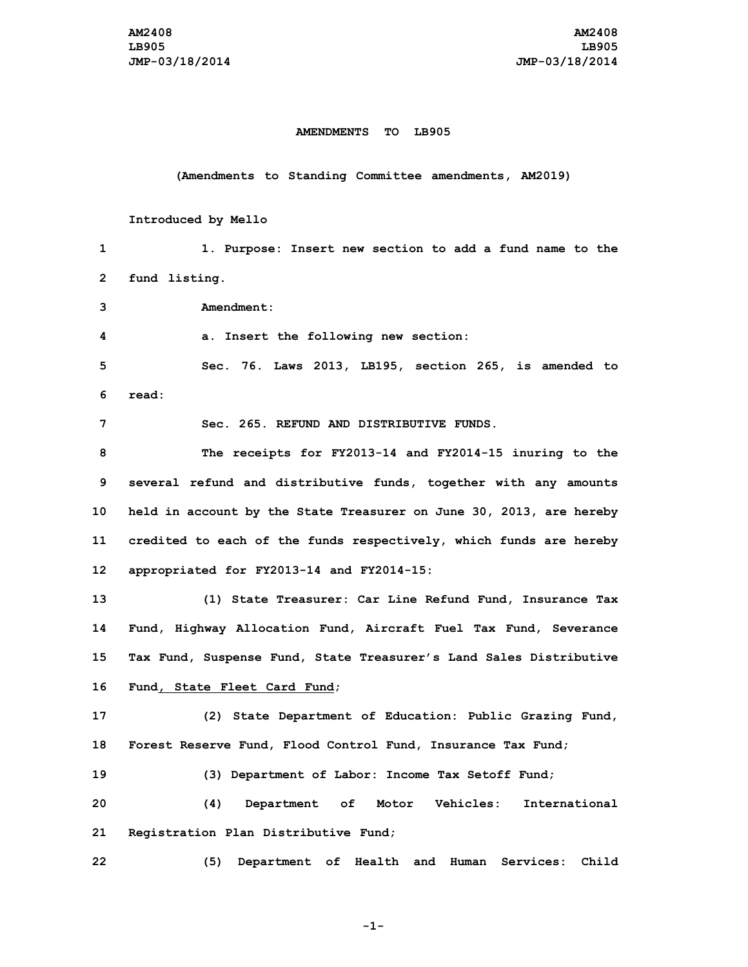## **AMENDMENTS TO LB905**

**(Amendments to Standing Committee amendments, AM2019)**

## **Introduced by Mello**

**1 1. Purpose: Insert new section to add <sup>a</sup> fund name to the 2 fund listing.**

**3 Amendment:**

**4 a. Insert the following new section:**

**5 Sec. 76. Laws 2013, LB195, section 265, is amended to 6 read:**

**7 Sec. 265. REFUND AND DISTRIBUTIVE FUNDS.**

 **The receipts for FY2013-14 and FY2014-15 inuring to the several refund and distributive funds, together with any amounts held in account by the State Treasurer on June 30, 2013, are hereby credited to each of the funds respectively, which funds are hereby appropriated for FY2013-14 and FY2014-15:**

 **(1) State Treasurer: Car Line Refund Fund, Insurance Tax Fund, Highway Allocation Fund, Aircraft Fuel Tax Fund, Severance Tax Fund, Suspense Fund, State Treasurer's Land Sales Distributive Fund, State Fleet Card Fund;**

**17 (2) State Department of Education: Public Grazing Fund, 18 Forest Reserve Fund, Flood Control Fund, Insurance Tax Fund;**

**19 (3) Department of Labor: Income Tax Setoff Fund;**

**20 (4) Department of Motor Vehicles: International 21 Registration Plan Distributive Fund;**

**22 (5) Department of Health and Human Services: Child**

**-1-**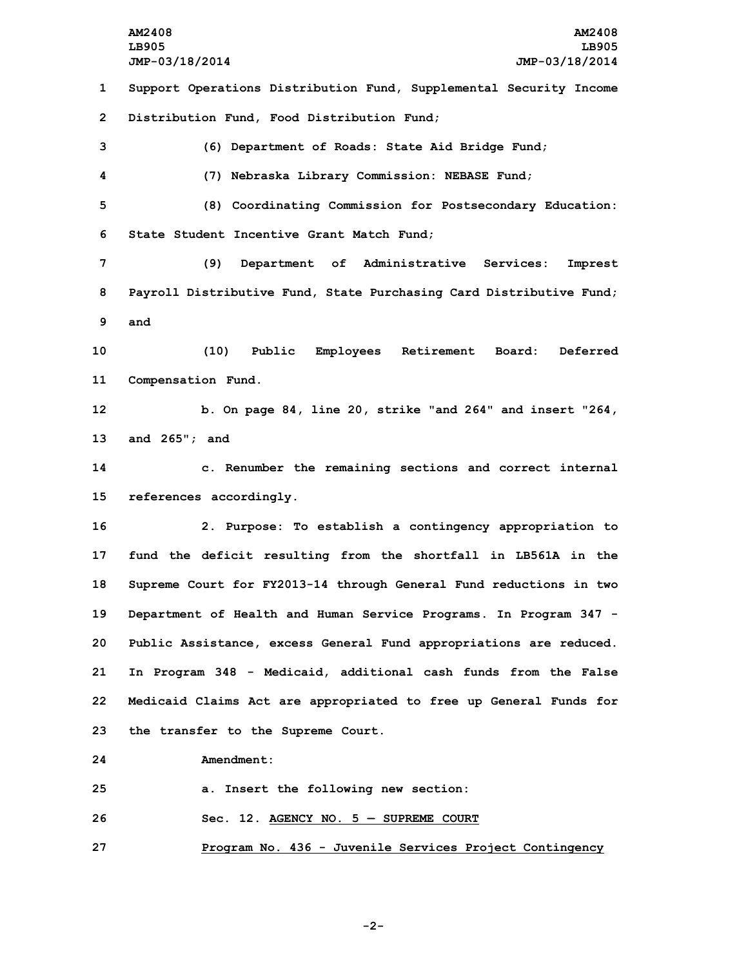**AM2408 AM2408 LB905 LB905 JMP-03/18/2014 JMP-03/18/2014 Support Operations Distribution Fund, Supplemental Security Income Distribution Fund, Food Distribution Fund; (6) Department of Roads: State Aid Bridge Fund; (7) Nebraska Library Commission: NEBASE Fund; (8) Coordinating Commission for Postsecondary Education: State Student Incentive Grant Match Fund; (9) Department of Administrative Services: Imprest Payroll Distributive Fund, State Purchasing Card Distributive Fund; 9 and (10) Public Employees Retirement Board: Deferred Compensation Fund. b. On page 84, line 20, strike "and 264" and insert "264, and 265"; and c. Renumber the remaining sections and correct internal references accordingly. 2. Purpose: To establish <sup>a</sup> contingency appropriation to fund the deficit resulting from the shortfall in LB561A in the Supreme Court for FY2013-14 through General Fund reductions in two Department of Health and Human Service Programs. In Program 347 - Public Assistance, excess General Fund appropriations are reduced. In Program 348 - Medicaid, additional cash funds from the False Medicaid Claims Act are appropriated to free up General Funds for the transfer to the Supreme Court. Amendment: a. Insert the following new section: Sec. 12. AGENCY NO. 5 — SUPREME COURT**

**27 Program No. 436 - Juvenile Services Project Contingency**

**-2-**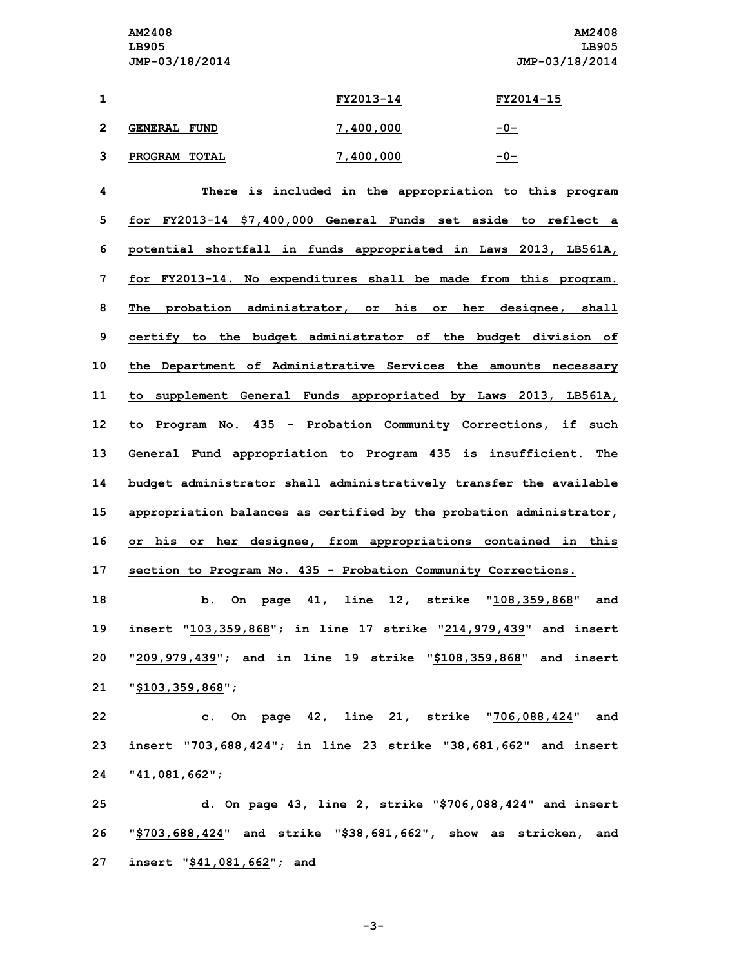**AM2408 AM2408 LB905 LB905 JMP-03/18/2014 JMP-03/18/2014**

|    |                     | FY2013-14 | FY2014-15 |
|----|---------------------|-----------|-----------|
| -2 | <b>GENERAL FUND</b> | 7,400,000 | $-0-$     |
| ີ  | PROGRAM TOTAL       | 7,400,000 | -0-       |

 **There is included in the appropriation to this program for FY2013-14 \$7,400,000 General Funds set aside to reflect <sup>a</sup> potential shortfall in funds appropriated in Laws 2013, LB561A, for FY2013-14. No expenditures shall be made from this program. The probation administrator, or his or her designee, shall certify to the budget administrator of the budget division of the Department of Administrative Services the amounts necessary to supplement General Funds appropriated by Laws 2013, LB561A, to Program No. 435 - Probation Community Corrections, if such General Fund appropriation to Program 435 is insufficient. The budget administrator shall administratively transfer the available appropriation balances as certified by the probation administrator, or his or her designee, from appropriations contained in this section to Program No. 435 - Probation Community Corrections.**

 **b. On page 41, line 12, strike "108,359,868" and insert "103,359,868"; in line 17 strike "214,979,439" and insert "209,979,439"; and in line 19 strike "\$108,359,868" and insert "\$103,359,868";**

**22 c. On page 42, line 21, strike "706,088,424" and 23 insert "703,688,424"; in line 23 strike "38,681,662" and insert 24 "41,081,662";**

**25 d. On page 43, line 2, strike "\$706,088,424" and insert 26 "\$703,688,424" and strike "\$38,681,662", show as stricken, and 27 insert "\$41,081,662"; and**

**-3-**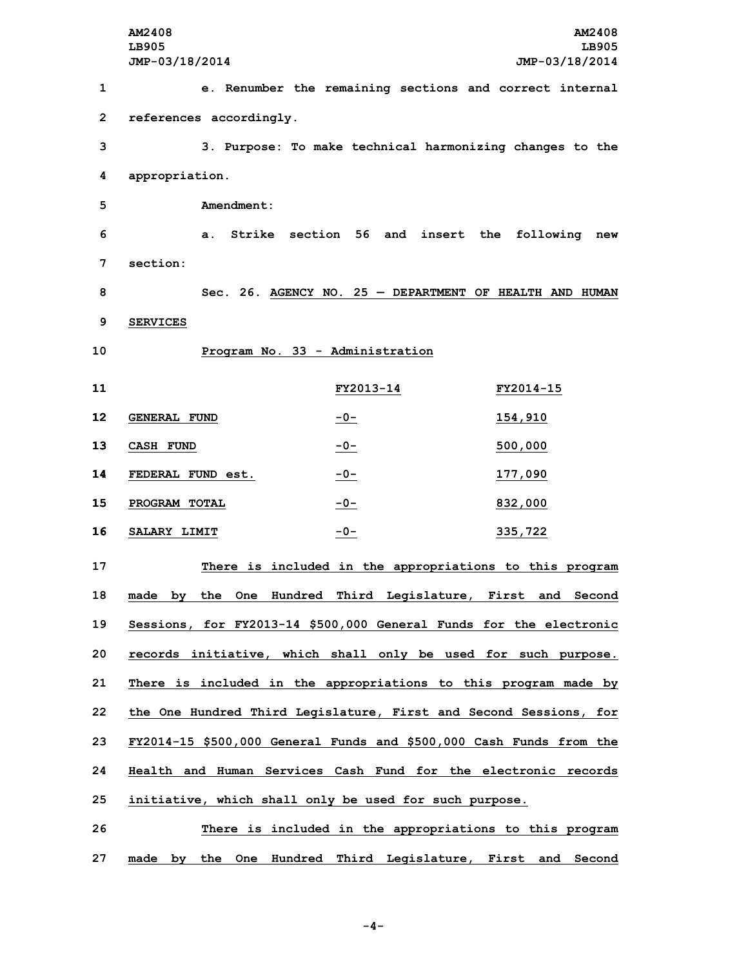**AM2408 AM2408 LB905 LB905 JMP-03/18/2014 JMP-03/18/2014 e. Renumber the remaining sections and correct internal references accordingly. 3. Purpose: To make technical harmonizing changes to the appropriation. Amendment: a. Strike section 56 and insert the following new 7 section: Sec. 26. AGENCY NO. 25 — DEPARTMENT OF HEALTH AND HUMAN 9 SERVICES Program No. 33 - Administration FY2013-14 FY2014-15 GENERAL FUND -0- 154,910 CASH FUND -0- 500,000 FEDERAL FUND est. -0- 177,090 PROGRAM TOTAL -0- 832,000 SALARY LIMIT -0- 335,722 There is included in the appropriations to this program made by the One Hundred Third Legislature, First and Second Sessions, for FY2013-14 \$500,000 General Funds for the electronic records initiative, which shall only be used for such purpose. There is included in the appropriations to this program made by the One Hundred Third Legislature, First and Second Sessions, for FY2014-15 \$500,000 General Funds and \$500,000 Cash Funds from the Health and Human Services Cash Fund for the electronic records initiative, which shall only be used for such purpose. There is included in the appropriations to this program made by the One Hundred Third Legislature, First and Second**

**-4-**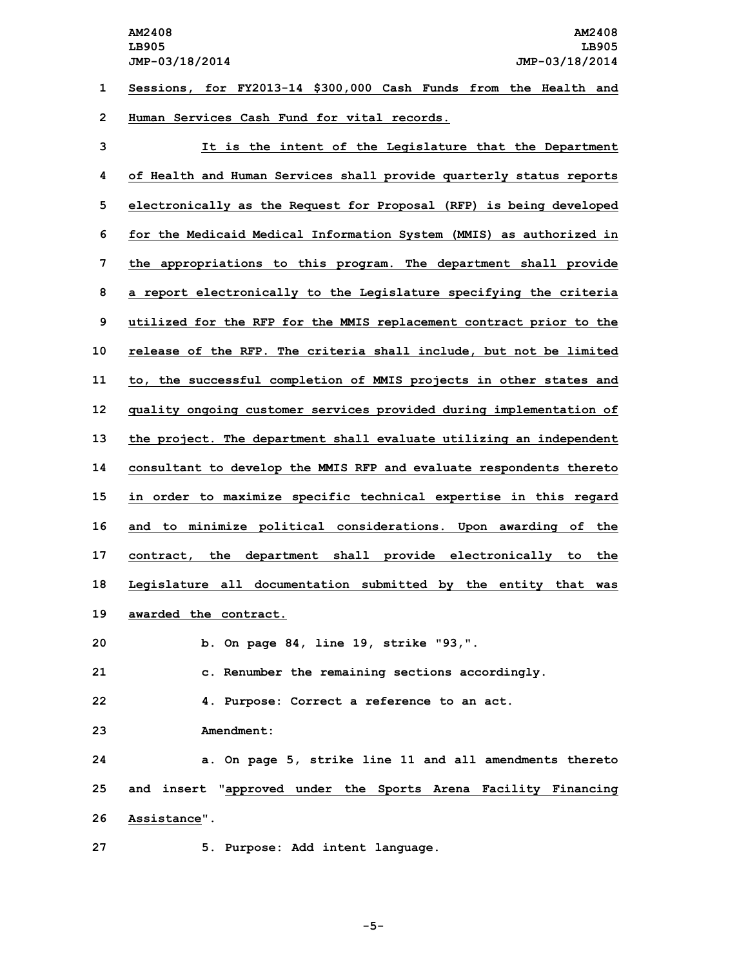**1 Sessions, for FY2013-14 \$300,000 Cash Funds from the Health and 2 Human Services Cash Fund for vital records.**

 **It is the intent of the Legislature that the Department of Health and Human Services shall provide quarterly status reports electronically as the Request for Proposal (RFP) is being developed for the Medicaid Medical Information System (MMIS) as authorized in the appropriations to this program. The department shall provide <sup>a</sup> report electronically to the Legislature specifying the criteria utilized for the RFP for the MMIS replacement contract prior to the release of the RFP. The criteria shall include, but not be limited to, the successful completion of MMIS projects in other states and quality ongoing customer services provided during implementation of the project. The department shall evaluate utilizing an independent consultant to develop the MMIS RFP and evaluate respondents thereto in order to maximize specific technical expertise in this regard and to minimize political considerations. Upon awarding of the contract, the department shall provide electronically to the Legislature all documentation submitted by the entity that was awarded the contract. b. On page 84, line 19, strike "93,". c. Renumber the remaining sections accordingly. 4. Purpose: Correct <sup>a</sup> reference to an act. Amendment: a. On page 5, strike line 11 and all amendments thereto and insert "approved under the Sports Arena Facility Financing Assistance".**

**27 5. Purpose: Add intent language.**

**-5-**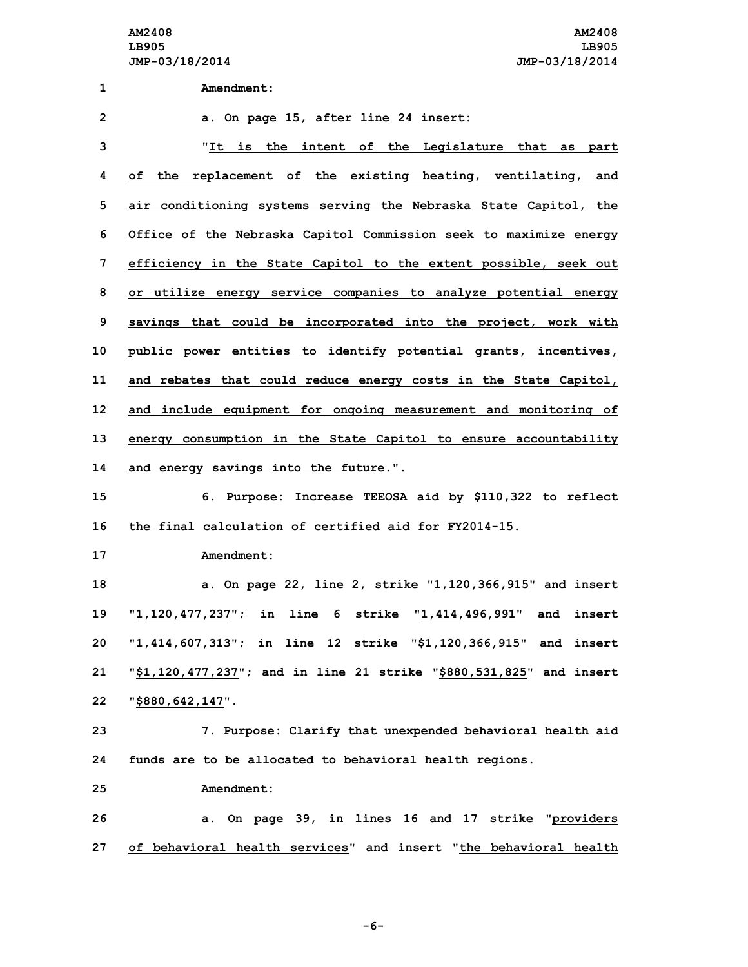**AM2408 AM2408 LB905 LB905 JMP-03/18/2014 JMP-03/18/2014**

 **Amendment: a. On page 15, after line 24 insert: "It is the intent of the Legislature that as part of the replacement of the existing heating, ventilating, and air conditioning systems serving the Nebraska State Capitol, the Office of the Nebraska Capitol Commission seek to maximize energy efficiency in the State Capitol to the extent possible, seek out or utilize energy service companies to analyze potential energy savings that could be incorporated into the project, work with public power entities to identify potential grants, incentives, and rebates that could reduce energy costs in the State Capitol, and include equipment for ongoing measurement and monitoring of energy consumption in the State Capitol to ensure accountability and energy savings into the future.". 6. Purpose: Increase TEEOSA aid by \$110,322 to reflect the final calculation of certified aid for FY2014-15. Amendment: a. On page 22, line 2, strike "1,120,366,915" and insert "1,120,477,237"; in line 6 strike "1,414,496,991" and insert "1,414,607,313"; in line 12 strike "\$1,120,366,915" and insert "\$1,120,477,237"; and in line 21 strike "\$880,531,825" and insert "\$880,642,147". 7. Purpose: Clarify that unexpended behavioral health aid funds are to be allocated to behavioral health regions. Amendment: a. On page 39, in lines 16 and 17 strike "providers of behavioral health services" and insert "the behavioral health**

**-6-**